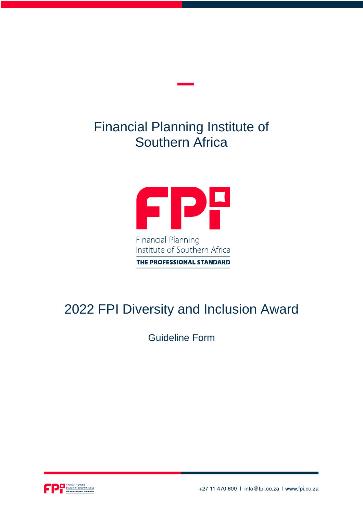## Financial Planning Institute of Southern Africa



THE PROFESSIONAL STANDARD

# 2022 FPI Diversity and Inclusion Award

Guideline Form



+27 11 470 600 | info@fpi.co.za | www.fpi.co.za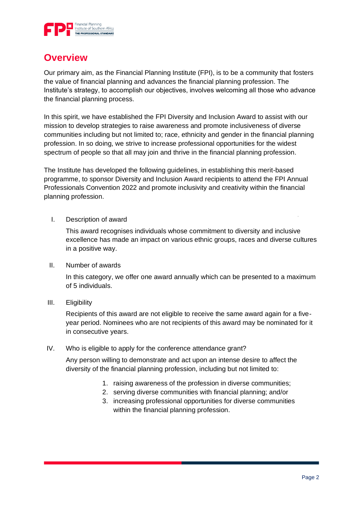

#### **Overview**

Our primary aim, as the Financial Planning Institute (FPI), is to be a community that fosters the value of financial planning and advances the financial planning profession. The Institute's strategy, to accomplish our objectives, involves welcoming all those who advance the financial planning process.

In this spirit, we have established the FPI Diversity and Inclusion Award to assist with our mission to develop strategies to raise awareness and promote inclusiveness of diverse communities including but not limited to; race, ethnicity and gender in the financial planning profession. In so doing, we strive to increase professional opportunities for the widest spectrum of people so that all may join and thrive in the financial planning profession.

The Institute has developed the following guidelines, in establishing this merit-based programme, to sponsor Diversity and Inclusion Award recipients to attend the FPI Annual Professionals Convention 2022 and promote inclusivity and creativity within the financial planning profession.

I. Description of award

This award recognises individuals whose commitment to diversity and inclusive excellence has made an impact on various ethnic groups, races and diverse cultures in a positive way.

II. Number of awards

In this category, we offer one award annually which can be presented to a maximum of 5 individuals.

III. Eligibility

Recipients of this award are not eligible to receive the same award again for a fiveyear period. Nominees who are not recipients of this award may be nominated for it in consecutive years.

IV. Who is eligible to apply for the conference attendance grant?

Any person willing to demonstrate and act upon an intense desire to affect the diversity of the financial planning profession, including but not limited to:

- 1. raising awareness of the profession in diverse communities;
- 2. serving diverse communities with financial planning; and/or
- 3. increasing professional opportunities for diverse communities within the financial planning profession.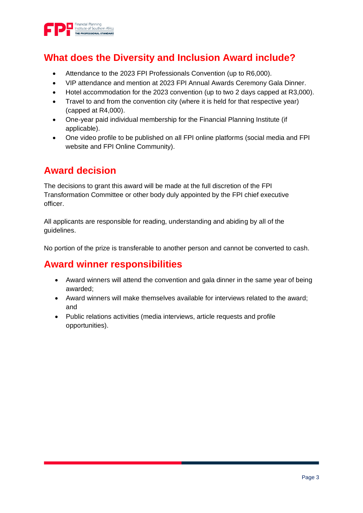

### **What does the Diversity and Inclusion Award include?**

- Attendance to the 2023 FPI Professionals Convention (up to R6,000).
- VIP attendance and mention at 2023 FPI Annual Awards Ceremony Gala Dinner.
- Hotel accommodation for the 2023 convention (up to two 2 days capped at R3,000).
- Travel to and from the convention city (where it is held for that respective year) (capped at R4,000).
- One-year paid individual membership for the Financial Planning Institute (if applicable).
- One video profile to be published on all FPI online platforms (social media and FPI website and FPI Online Community).

## **Award decision**

The decisions to grant this award will be made at the full discretion of the FPI Transformation Committee or other body duly appointed by the FPI chief executive officer.

All applicants are responsible for reading, understanding and abiding by all of the guidelines.

No portion of the prize is transferable to another person and cannot be converted to cash.

#### **Award winner responsibilities**

- Award winners will attend the convention and gala dinner in the same year of being awarded;
- Award winners will make themselves available for interviews related to the award; and
- Public relations activities (media interviews, article requests and profile opportunities).